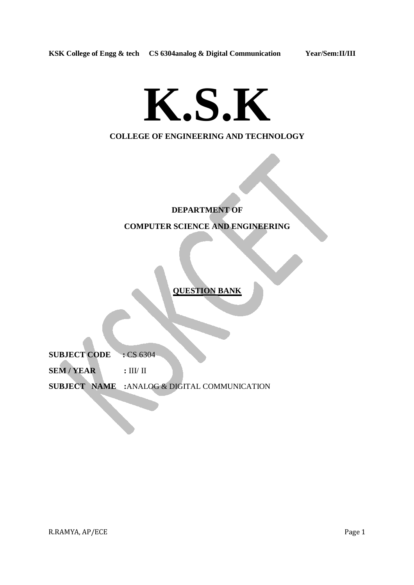# **K.S.K**

# **COLLEGE OF ENGINEERING AND TECHNOLOGY**

# **DEPARTMENT OF COMPUTER SCIENCE AND ENGINEERING**

**QUESTION BANK**

**SUBJECT CODE : CS 6304** 

SEM / YEAR : III/ II

**SUBJECT NAME :**ANALOG & DIGITAL COMMUNICATION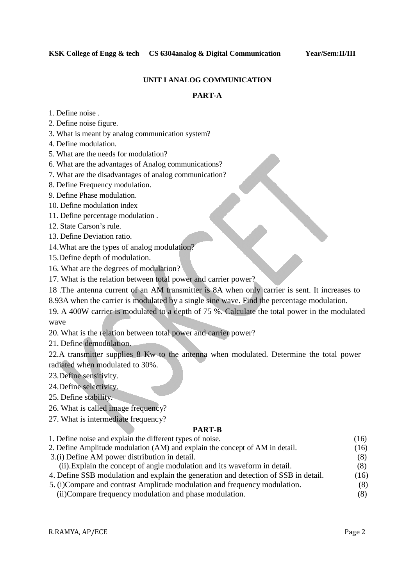## **UNIT I ANALOG COMMUNICATION**

# **PART-A**

- 1. Define noise .
- 2. Define noise figure.
- 3. What is meant by analog communication system?
- 4. Define modulation.
- 5. What are the needs for modulation?
- 6. What are the advantages of Analog communications?
- 7. What are the disadvantages of analog communication?
- 8. Define Frequency modulation.
- 9. Define Phase modulation.
- 10. Define modulation index
- 11. Define percentage modulation .
- 12. State Carson's rule.
- 13. Define Deviation ratio.
- 14.What are the types of analog modulation?
- 15.Define depth of modulation.
- 16. What are the degrees of modulation?
- 17. What is the relation between total power and carrier power?
- 18 .The antenna current of an AM transmitter is 8A when only carrier is sent. It increases to
- 8.93A when the carrier is modulated by a single sine wave. Find the percentage modulation.
- 19. A 400W carrier is modulated to a depth of 75 %. Calculate the total power in the modulated wave
- 20. What is the relation between total power and carrier power?
- 21. Define demodulation.

22.A transmitter supplies 8 Kw to the antenna when modulated. Determine the total power radiated when modulated to 30%.

- 23.Define sensitivity.
- 24.Define selectivity.
- 25. Define stability.
- 26. What is called image frequency?
- 27. What is intermediate frequency?

#### **PART-B**

1. Define noise and explain the different types of noise. (16) 2. Define Amplitude modulation (AM) and explain the concept of AM in detail. (16) 3.(i) Define AM power distribution in detail. (8) (ii).Explain the concept of angle modulation and its waveform in detail. (8) 4. Define SSB modulation and explain the generation and detection of SSB in detail. (16) 5. (i)Compare and contrast Amplitude modulation and frequency modulation. (8) (ii)Compare frequency modulation and phase modulation. (8)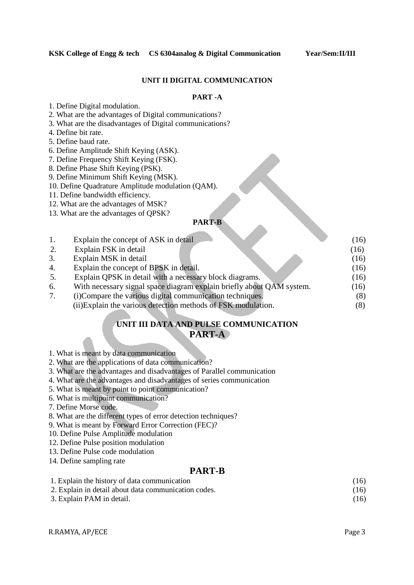#### **UNIT II DIGITAL COMMUNICATION**

# **PART -A**

- 1. Define Digital modulation.
- 2. What are the advantages of Digital communications?
- 3. What are the disadvantages of Digital communications?
- 4. Define bit rate.
- 5. Define baud rate.
- 6. Define Amplitude Shift Keying (ASK).
- 7. Define Frequency Shift Keying (FSK).
- 8. Define Phase Shift Keying (PSK).
- 9. Define Minimum Shift Keying (MSK).
- 10. Define Quadrature Amplitude modulation (QAM).
- 11. Define bandwidth efficiency.
- 12. What are the advantages of MSK?
- 13. What are the advantages of QPSK?

#### **PART-B**

| 1. | Explain the concept of ASK in detail                                  | (16) |
|----|-----------------------------------------------------------------------|------|
| 2. | Explain FSK in detail                                                 | (16) |
| 3. | Explain MSK in detail                                                 | (16) |
| 4. | Explain the concept of BPSK in detail.                                | (16) |
| 5. | Explain QPSK in detail with a necessary block diagrams.               | (16) |
| 6. | With necessary signal space diagram explain briefly about QAM system. | (16) |
| 7. | (i) Compare the various digital communication techniques.             | (8)  |
|    | (ii) Explain the various detection methods of FSK modulation.         | (8)  |

# **UNIT III DATA AND PULSE COMMUNICATION PART-A**

- 1. What is meant by data communication
- 2. What are the applications of data communication?
- 3. What are the advantages and disadvantages of Parallel communication
- 4. What are the advantages and disadvantages of series communication
- 5. What is meant by point to point communication?
- 6. What is multipoint communication?
- 7. Define Morse code.
- 8. What are the different types of error detection techniques?
- 9. What is meant by Forward Error Correction (FEC)?
- 10. Define Pulse Amplitude modulation
- 12. Define Pulse position modulation
- 13. Define Pulse code modulation
- 14. Define sampling rate

#### **PART-B**

| 1. Explain the history of data communication         | (16) |
|------------------------------------------------------|------|
| 2. Explain in detail about data communication codes. | (16) |
| 3. Explain PAM in detail.                            | (16) |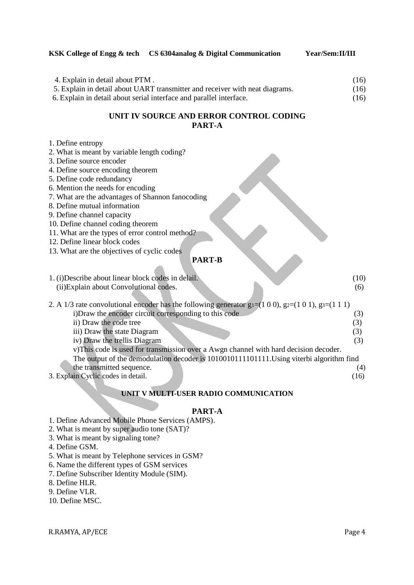## **KSK College of Engg & tech CS 6304analog & Digital Communication Year/Sem:II/III**

| 4. Explain in detail about PTM.                                              | (16) |
|------------------------------------------------------------------------------|------|
| 5. Explain in detail about UART transmitter and receiver with neat diagrams. | (16) |
| 6. Explain in detail about serial interface and parallel interface.          | (16) |

# **UNIT IV SOURCE AND ERROR CONTROL CODING PART-A**

| 1. Define entropy                                                                                       |      |
|---------------------------------------------------------------------------------------------------------|------|
| 2. What is meant by variable length coding?                                                             |      |
| 3. Define source encoder                                                                                |      |
| 4. Define source encoding theorem                                                                       |      |
| 5. Define code redundancy                                                                               |      |
| 6. Mention the needs for encoding                                                                       |      |
| 7. What are the advantages of Shannon fanocoding                                                        |      |
| 8. Define mutual information                                                                            |      |
| 9. Define channel capacity                                                                              |      |
| 10. Define channel coding theorem                                                                       |      |
| 11. What are the types of error control method?                                                         |      |
| 12. Define linear block codes                                                                           |      |
| 13. What are the objectives of cyclic codes                                                             |      |
| <b>PART-B</b>                                                                                           |      |
|                                                                                                         |      |
| 1. (i) Describe about linear block codes in delail.                                                     | (10) |
| (ii) Explain about Convolutional codes.                                                                 | (6)  |
|                                                                                                         |      |
| 2. A 1/3 rate convolutional encoder has the following generator $g = (100)$ , $g = (101)$ , $g = (111)$ |      |
| i) Draw the encoder circuit corresponding to this code                                                  | (3)  |
| ii) Draw the code tree                                                                                  | (3)  |
| iii) Draw the state Diagram                                                                             | (3)  |
| iv) Draw the trellis Diagram                                                                            | (3)  |
| v)This code is used for transmission over a Awgn channel with hard decision decoder.                    |      |
| The output of the demodulation decoder is 1010010111101111. Using viterbi algorithm find                |      |
| the transmitted sequence.                                                                               | (4)  |
| 3. Explain Cyclic codes in detail.                                                                      | (16) |

# **UNIT V MULTI-USER RADIO COMMUNICATION**

# **PART-A**

- 1. Define Advanced Mobile Phone Services (AMPS).
- 2. What is meant by super audio tone (SAT)?
- 3. What is meant by signaling tone?
- 4. Define GSM.
- 5. What is meant by Telephone services in GSM?
- 6. Name the different types of GSM services
- 7. Define Subscriber Identity Module (SIM).
- 8. Define HLR.
- 9. Define VLR.
- 10. Define MSC.